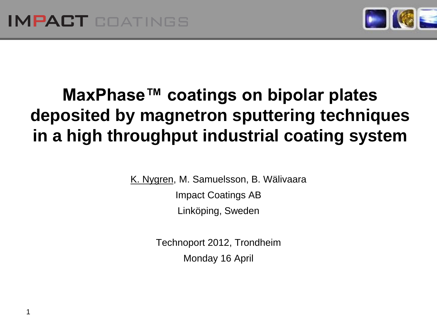1



# **MaxPhase™ coatings on bipolar plates deposited by magnetron sputtering techniques in a high throughput industrial coating system**

K. Nygren, M. Samuelsson, B. Wälivaara

Impact Coatings AB Linköping, Sweden

Technoport 2012, Trondheim Monday 16 April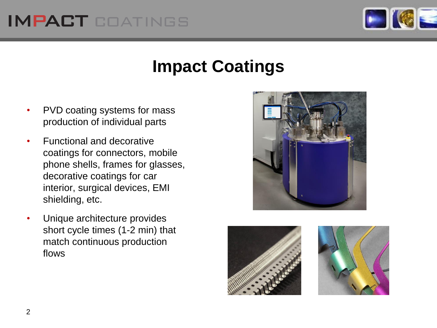## **IMPACT COATINGS**



### **Impact Coatings**

- PVD coating systems for mass production of individual parts
- Functional and decorative coatings for connectors, mobile phone shells, frames for glasses, decorative coatings for car interior, surgical devices, EMI shielding, etc.
- Unique architecture provides short cycle times (1-2 min) that match continuous production flows





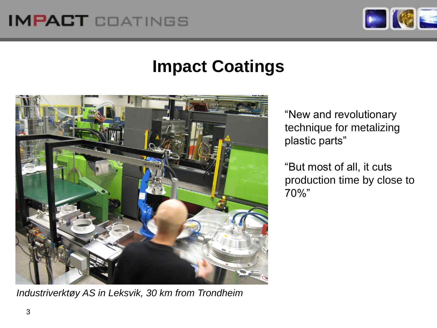## **IMPACT COATINGS**



### **Impact Coatings**



*Industriverktøy AS in Leksvik, 30 km from Trondheim*

"New and revolutionary technique for metalizing plastic parts"

"But most of all, it cuts production time by close to 70%"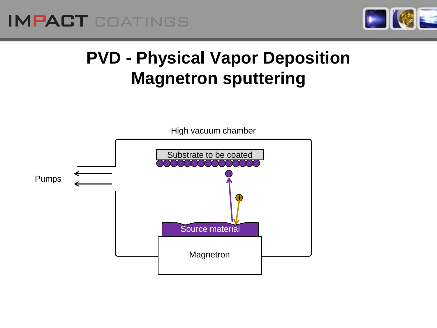



## **PVD - Physical Vapor Deposition Magnetron sputtering**

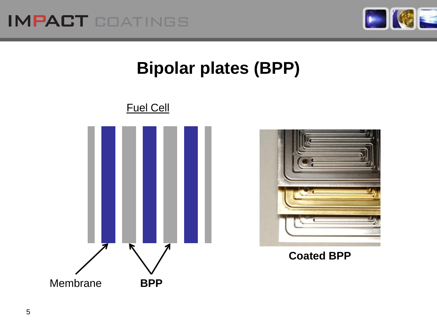

# **Bipolar plates (BPP)**





#### **Coated BPP**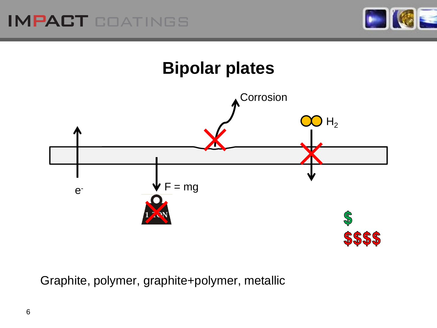





Graphite, polymer, graphite+polymer, metallic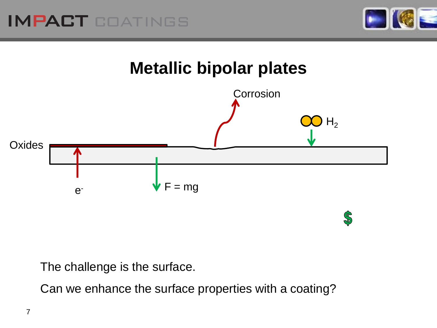





The challenge is the surface.

Can we enhance the surface properties with a coating?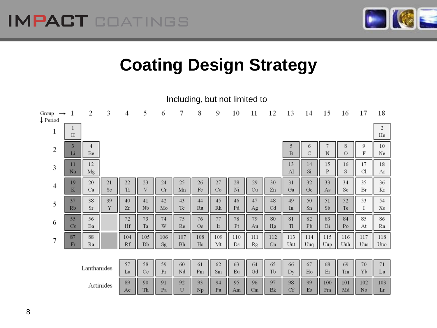

# **Coating Design Strategy**

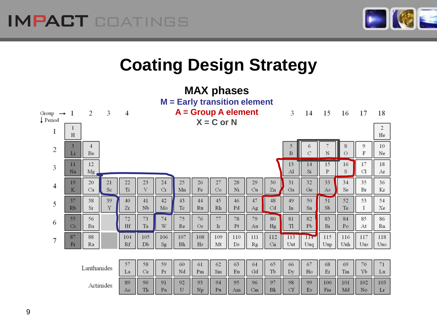

## **Coating Design Strategy**

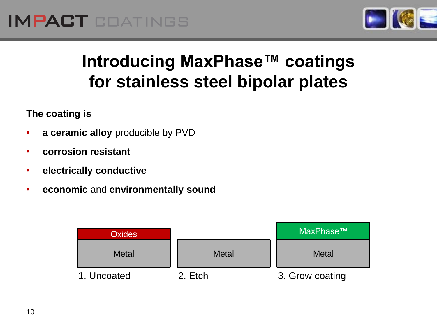

## **Introducing MaxPhase™ coatings for stainless steel bipolar plates**

#### **The coating is**

- **a ceramic alloy** producible by PVD
- **corrosion resistant**
- **electrically conductive**
- **economic** and **environmentally sound**

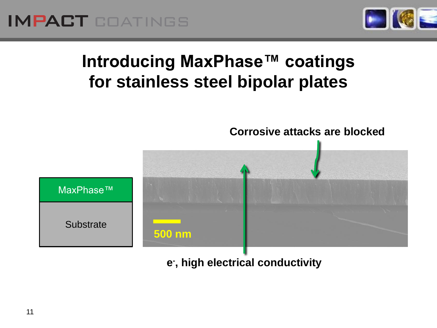

## **Introducing MaxPhase™ coatings for stainless steel bipolar plates**



**e - , high electrical conductivity**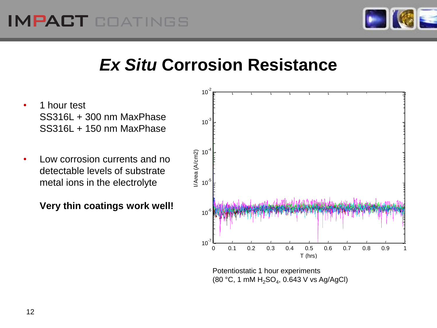

## *Ex Situ* **Corrosion Resistance**

- 1 hour test SS316L + 300 nm MaxPhase SS316L + 150 nm MaxPhase
- Low corrosion currents and no detectable levels of substrate metal ions in the electrolyte

**Very thin coatings work well!**



Potentiostatic 1 hour experiments  $(80 °C, 1 mM H<sub>2</sub>SO<sub>4</sub>, 0.643 V vs Ag/AgCl)$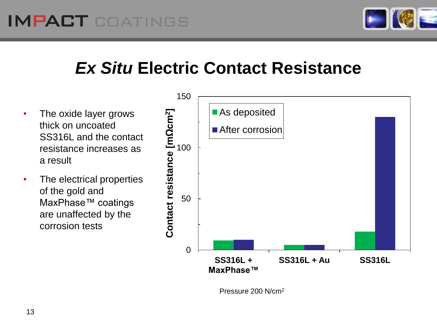

## *Ex Situ* **Electric Contact Resistance**

- The oxide layer grows thick on uncoated SS316L and the contact resistance increases as a result
- The electrical properties of the gold and MaxPhase™ coatings are unaffected by the corrosion tests



Pressure 200 N/cm<sup>2</sup>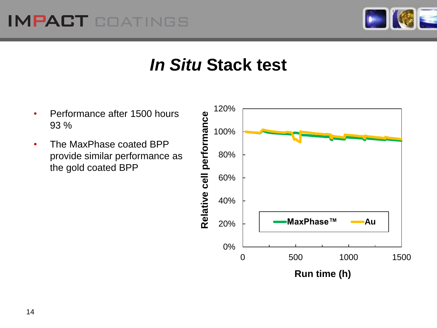### IMPACT COATINGS



### *In Situ* **Stack test**

- Performance after 1500 hours 93 %
- The MaxPhase coated BPP provide similar performance as the gold coated BPP

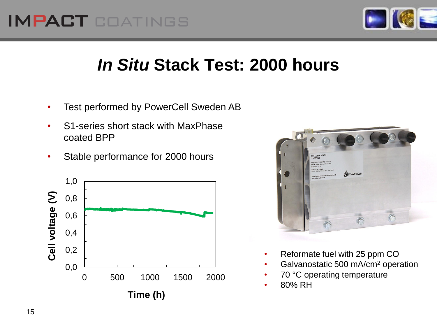### **IMPACT COATINGS**



## *In Situ* **Stack Test: 2000 hours**

- Test performed by PowerCell Sweden AB
- S1-series short stack with MaxPhase coated BPP
- Stable performance for 2000 hours





- Reformate fuel with 25 ppm CO
- Galvanostatic 500 mA/cm<sup>2</sup> operation
- 70 °C operating temperature
- 80% RH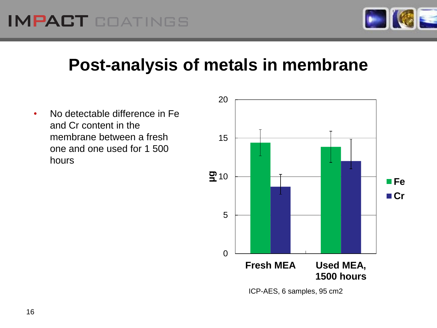

### **Post-analysis of metals in membrane**

• No detectable difference in Fe and Cr content in the membrane between a fresh one and one used for 1 500 hours

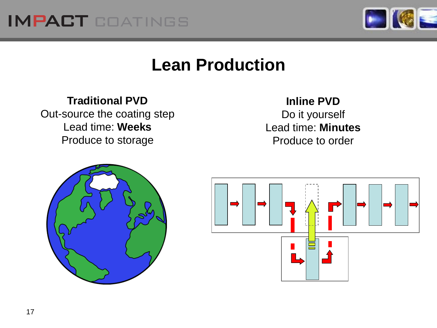



#### **Lean Production**

#### **Traditional PVD**

Out-source the coating step Lead time: **Weeks** Produce to storage

#### **Inline PVD**

Do it yourself Lead time: **Minutes** Produce to order



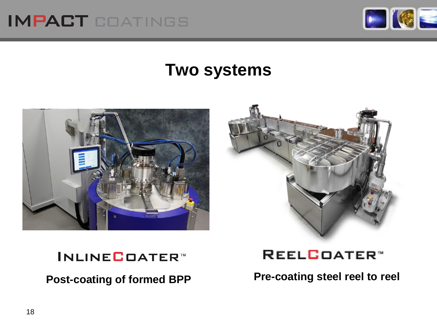



#### **Two systems**





#### **INLINE**COATER™

**Post-coating of formed BPP Pre-coating steel reel to reel**

REELCOATER<sup>\*</sup>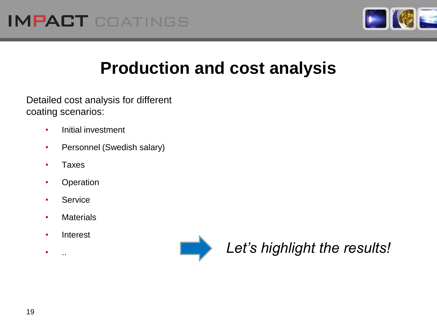

## **Production and cost analysis**

Detailed cost analysis for different coating scenarios:

- Initial investment
- Personnel (Swedish salary)
- Taxes
- Operation
- Service
- Materials
- Interest
- 



• .. *Let's highlight the results!*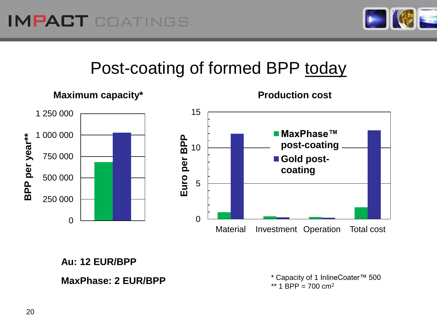

### Post-coating of formed BPP today



**Au: 12 EUR/BPP**

#### **MaxPhase: 2 EUR/BPP**

\* Capacity of 1 InlineCoater™ 500 \*\* 1 BPP =  $700 \text{ cm}^2$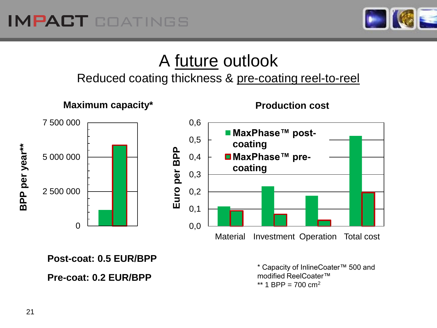

#### A future outlook Reduced coating thickness & pre-coating reel-to-reel

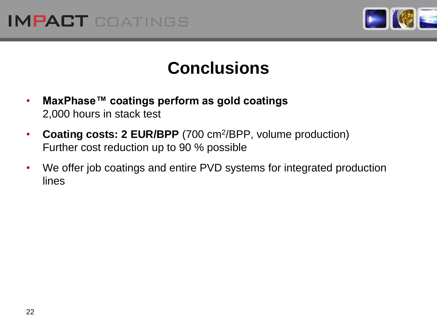



#### **Conclusions**

- **MaxPhase™ coatings perform as gold coatings** 2,000 hours in stack test
- Coating costs: 2 EUR/BPP (700 cm<sup>2</sup>/BPP, volume production) Further cost reduction up to 90 % possible
- We offer job coatings and entire PVD systems for integrated production lines